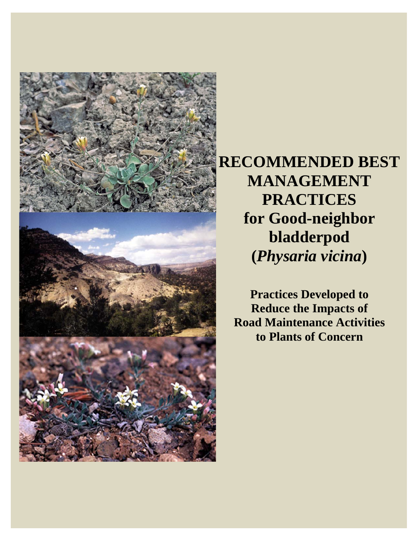

**RECOMMENDED BEST MANAGEMENT PRACTICES for Good-neighbor bladderpod (***Physaria vicina***)** 

**Practices Developed to Reduce the Impacts of Road Maintenance Activities to Plants of Concern**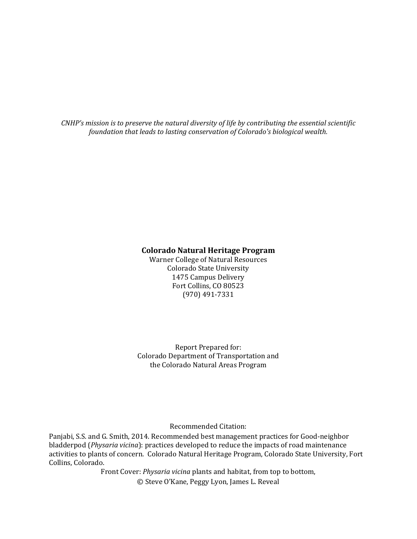*CNHP's mission is to preserve the natural diversity of life by contributing the essential scientific foundation that leads to lasting conservation of Colorado's biological wealth.*

#### **Colorado Natural Heritage Program**

Warner College of Natural Resources Colorado State University 1475 Campus Delivery Fort Collins, CO 80523 (970) 491‐7331 

Report Prepared for: Colorado Department of Transportation and the Colorado Natural Areas Program

Recommended Citation: 

Panjabi, S.S. and G. Smith, 2014. Recommended best management practices for Good-neighbor bladderpod (*Physaria vicina*): practices developed to reduce the impacts of road maintenance activities to plants of concern. Colorado Natural Heritage Program, Colorado State University, Fort Collins, Colorado.

> Front Cover: *Physaria vicina* plants and habitat, from top to bottom, © Steve O'Kane, Peggy Lyon, James L. Reveal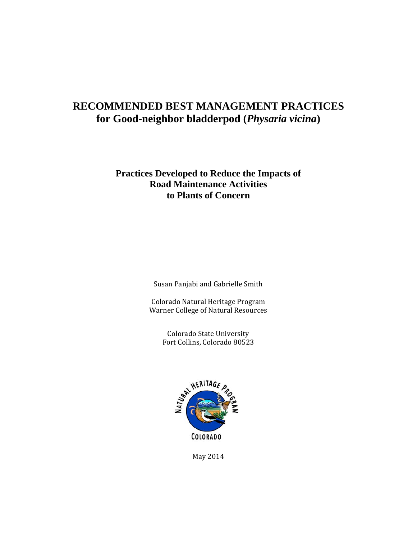## **RECOMMENDED BEST MANAGEMENT PRACTICES for Good-neighbor bladderpod (***Physaria vicina***)**

## **Practices Developed to Reduce the Impacts of Road Maintenance Activities to Plants of Concern**

Susan Panjabi and Gabrielle Smith

Colorado Natural Heritage Program Warner College of Natural Resources

> Colorado State University Fort Collins, Colorado 80523



May 2014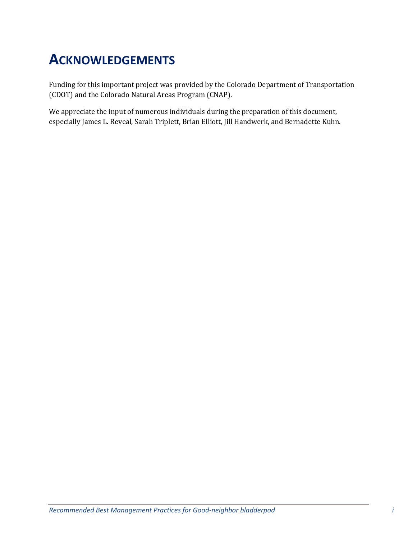# **ACKNOWLEDGEMENTS**

Funding for this important project was provided by the Colorado Department of Transportation (CDOT) and the Colorado Natural Areas Program (CNAP).

We appreciate the input of numerous individuals during the preparation of this document, especially James L. Reveal, Sarah Triplett, Brian Elliott, Jill Handwerk, and Bernadette Kuhn.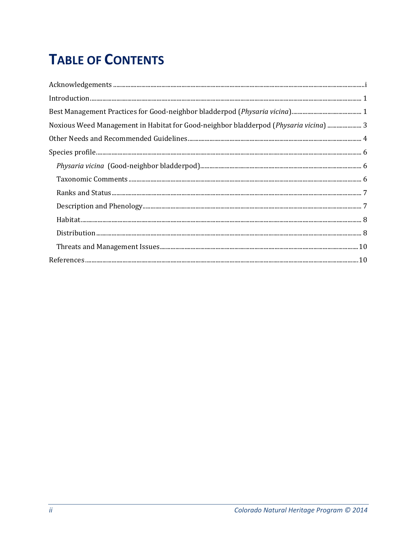# **TABLE OF CONTENTS**

| $In traditional, \textit{un} \textit{1} \textit{1} \textit{2} \textit{2} \textit{3} \textit{4} \textit{5} \textit{5} \textit{6} \textit{7} \textit{6} \textit{7} \textit{7} \textit{7} \textit{8} \textit{1} \textit{1} \textit{1} \textit{1} \textit{1} \textit{1} \textit{1} \textit{1} \textit{1} \textit{1} \textit{1} \textit{1} \textit{1} \textit{1} \textit{1} \textit{1} \textit{1} \textit{1} \textit{1} \textit{1} \$ |  |
|----------------------------------------------------------------------------------------------------------------------------------------------------------------------------------------------------------------------------------------------------------------------------------------------------------------------------------------------------------------------------------------------------------------------------------|--|
|                                                                                                                                                                                                                                                                                                                                                                                                                                  |  |
| Noxious Weed Management in Habitat for Good-neighbor bladderpod (Physaria vicina)  3                                                                                                                                                                                                                                                                                                                                             |  |
|                                                                                                                                                                                                                                                                                                                                                                                                                                  |  |
|                                                                                                                                                                                                                                                                                                                                                                                                                                  |  |
|                                                                                                                                                                                                                                                                                                                                                                                                                                  |  |
|                                                                                                                                                                                                                                                                                                                                                                                                                                  |  |
|                                                                                                                                                                                                                                                                                                                                                                                                                                  |  |
|                                                                                                                                                                                                                                                                                                                                                                                                                                  |  |
|                                                                                                                                                                                                                                                                                                                                                                                                                                  |  |
|                                                                                                                                                                                                                                                                                                                                                                                                                                  |  |
|                                                                                                                                                                                                                                                                                                                                                                                                                                  |  |
|                                                                                                                                                                                                                                                                                                                                                                                                                                  |  |
|                                                                                                                                                                                                                                                                                                                                                                                                                                  |  |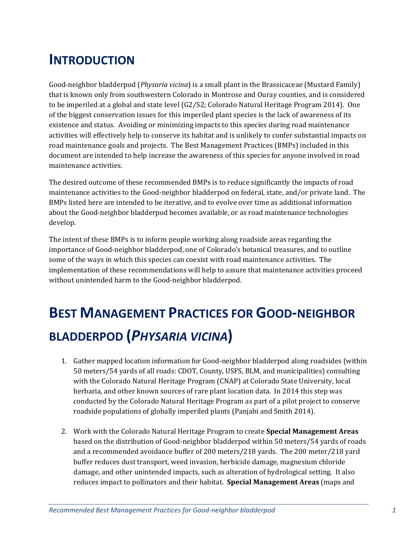# **INTRODUCTION**

Good-neighbor bladderpod (*Physaria vicina*) is a small plant in the Brassicaceae (Mustard Family) that is known only from southwestern Colorado in Montrose and Ouray counties, and is considered to be imperiled at a global and state level  $(G2/S2;$  Colorado Natural Heritage Program 2014). One of the biggest conservation issues for this imperiled plant species is the lack of awareness of its existence and status. Avoiding or minimizing impacts to this species during road maintenance activities will effectively help to conserve its habitat and is unlikely to confer substantial impacts on road maintenance goals and projects. The Best Management Practices (BMPs) included in this document are intended to help increase the awareness of this species for anyone involved in road maintenance activities.

The desired outcome of these recommended BMPs is to reduce significantly the impacts of road maintenance activities to the Good-neighbor bladderpod on federal, state, and/or private land. The BMPs listed here are intended to be iterative, and to evolve over time as additional information about the Good-neighbor bladderpod becomes available, or as road maintenance technologies develop. 

The intent of these BMPs is to inform people working along roadside areas regarding the importance of Good-neighbor bladderpod, one of Colorado's botanical treasures, and to outline some of the ways in which this species can coexist with road maintenance activities. The implementation of these recommendations will help to assure that maintenance activities proceed without unintended harm to the Good-neighbor bladderpod.

# **BEST MANAGEMENT PRACTICES FOR GOOD‐NEIGHBOR BLADDERPOD (***PHYSARIA VICINA***)**

- 1. Gather mapped location information for Good-neighbor bladderpod along roadsides (within 50 meters/54 yards of all roads: CDOT, County, USFS, BLM, and municipalities) consulting with the Colorado Natural Heritage Program (CNAP) at Colorado State University, local herbaria, and other known sources of rare plant location data. In 2014 this step was conducted by the Colorado Natural Heritage Program as part of a pilot project to conserve roadside populations of globally imperiled plants (Panjabi and Smith 2014).
- 2. Work with the Colorado Natural Heritage Program to create **Special Management Areas** based on the distribution of Good-neighbor bladderpod within 50 meters/54 yards of roads and a recommended avoidance buffer of 200 meters/218 yards. The 200 meter/218 yard buffer reduces dust transport, weed invasion, herbicide damage, magnesium chloride damage, and other unintended impacts, such as alteration of hydrological setting. It also reduces impact to pollinators and their habitat. **Special Management Areas** (maps and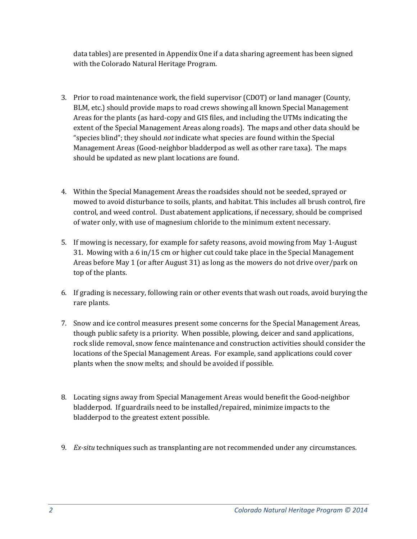data tables) are presented in Appendix One if a data sharing agreement has been signed with the Colorado Natural Heritage Program.

- 3. Prior to road maintenance work, the field supervisor (CDOT) or land manager (County, BLM, etc.) should provide maps to road crews showing all known Special Management Areas for the plants (as hard-copy and GIS files, and including the UTMs indicating the extent of the Special Management Areas along roads). The maps and other data should be "species blind"; they should *not* indicate what species are found within the Special Management Areas (Good-neighbor bladderpod as well as other rare taxa). The maps should be updated as new plant locations are found.
- 4. Within the Special Management Areas the roadsides should not be seeded, sprayed or mowed to avoid disturbance to soils, plants, and habitat. This includes all brush control, fire control, and weed control. Dust abatement applications, if necessary, should be comprised of water only, with use of magnesium chloride to the minimum extent necessary.
- 5. If mowing is necessary, for example for safety reasons, avoid mowing from May 1-August 31. Mowing with a 6 in/15 cm or higher cut could take place in the Special Management Areas before May 1 (or after August 31) as long as the mowers do not drive over/park on top of the plants.
- 6. If grading is necessary, following rain or other events that wash out roads, avoid burying the rare plants.
- 7. Snow and ice control measures present some concerns for the Special Management Areas, though public safety is a priority. When possible, plowing, deicer and sand applications, rock slide removal, snow fence maintenance and construction activities should consider the locations of the Special Management Areas. For example, sand applications could cover plants when the snow melts; and should be avoided if possible.
- 8. Locating signs away from Special Management Areas would benefit the Good-neighbor bladderpod. If guardrails need to be installed/repaired, minimize impacts to the bladderpod to the greatest extent possible.
- 9. *Ex-situ* techniques such as transplanting are not recommended under any circumstances.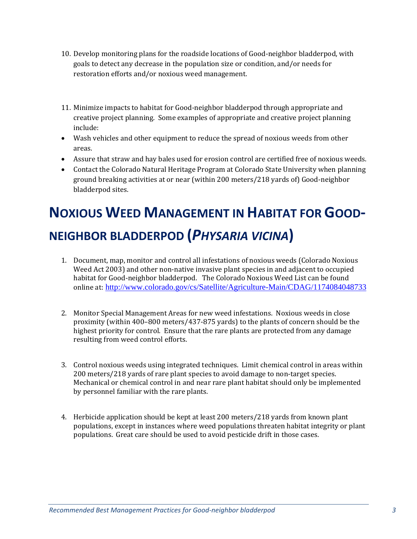- 10. Develop monitoring plans for the roadside locations of Good-neighbor bladderpod, with goals to detect any decrease in the population size or condition, and/or needs for restoration efforts and/or noxious weed management.
- 11. Minimize impacts to habitat for Good-neighbor bladderpod through appropriate and creative project planning. Some examples of appropriate and creative project planning include:
- Wash vehicles and other equipment to reduce the spread of noxious weeds from other areas.
- Assure that straw and hay bales used for erosion control are certified free of noxious weeds.
- Contact the Colorado Natural Heritage Program at Colorado State University when planning ground breaking activities at or near (within 200 meters/218 yards of) Good-neighbor bladderpod sites.

# **NOXIOUS WEED MANAGEMENT IN HABITAT FOR GOOD‐ NEIGHBOR BLADDERPOD (***PHYSARIA VICINA***)**

- 1. Document, map, monitor and control all infestations of noxious weeds (Colorado Noxious Weed Act 2003) and other non-native invasive plant species in and adjacent to occupied habitat for Good-neighbor bladderpod. The Colorado Noxious Weed List can be found online at: http://www.colorado.gov/cs/Satellite/Agriculture-Main/CDAG/1174084048733
- 2. Monitor Special Management Areas for new weed infestations. Noxious weeds in close proximity (within  $400-800$  meters/ $437-875$  yards) to the plants of concern should be the highest priority for control. Ensure that the rare plants are protected from any damage resulting from weed control efforts.
- 3. Control noxious weeds using integrated techniques. Limit chemical control in areas within 200 meters/218 yards of rare plant species to avoid damage to non-target species. Mechanical or chemical control in and near rare plant habitat should only be implemented by personnel familiar with the rare plants.
- 4. Herbicide application should be kept at least 200 meters/218 yards from known plant populations, except in instances where weed populations threaten habitat integrity or plant populations. Great care should be used to avoid pesticide drift in those cases.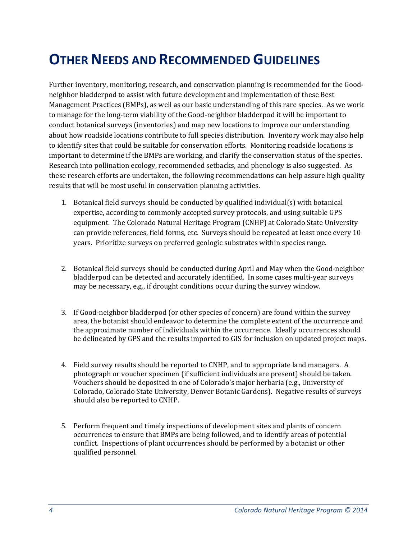# **OTHER NEEDS AND RECOMMENDED GUIDELINES**

Further inventory, monitoring, research, and conservation planning is recommended for the Goodneighbor bladderpod to assist with future development and implementation of these Best Management Practices (BMPs), as well as our basic understanding of this rare species. As we work to manage for the long-term viability of the Good-neighbor bladderpod it will be important to conduct botanical surveys (inventories) and map new locations to improve our understanding about how roadside locations contribute to full species distribution. Inventory work may also help to identify sites that could be suitable for conservation efforts. Monitoring roadside locations is important to determine if the BMPs are working, and clarify the conservation status of the species. Research into pollination ecology, recommended setbacks, and phenology is also suggested. As these research efforts are undertaken, the following recommendations can help assure high quality results that will be most useful in conservation planning activities.

- 1. Botanical field surveys should be conducted by qualified individual(s) with botanical expertise, according to commonly accepted survey protocols, and using suitable GPS equipment. The Colorado Natural Heritage Program (CNHP) at Colorado State University can provide references, field forms, etc. Surveys should be repeated at least once every 10 years. Prioritize surveys on preferred geologic substrates within species range.
- 2. Botanical field surveys should be conducted during April and May when the Good-neighbor bladderpod can be detected and accurately identified. In some cases multi-year surveys may be necessary, e.g., if drought conditions occur during the survey window.
- 3. If Good-neighbor bladderpod (or other species of concern) are found within the survey area, the botanist should endeavor to determine the complete extent of the occurrence and the approximate number of individuals within the occurrence. Ideally occurrences should be delineated by GPS and the results imported to GIS for inclusion on updated project maps.
- 4. Field survey results should be reported to CNHP, and to appropriate land managers. A photograph or voucher specimen (if sufficient individuals are present) should be taken. Vouchers should be deposited in one of Colorado's major herbaria (e.g., University of Colorado, Colorado State University, Denver Botanic Gardens). Negative results of surveys should also be reported to CNHP.
- 5. Perform frequent and timely inspections of development sites and plants of concern occurrences to ensure that BMPs are being followed, and to identify areas of potential conflict. Inspections of plant occurrences should be performed by a botanist or other qualified personnel.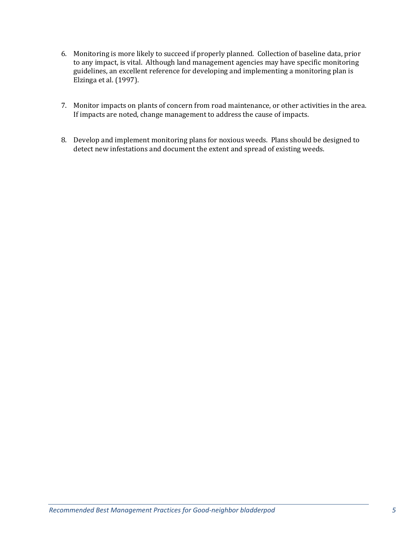- 6. Monitoring is more likely to succeed if properly planned. Collection of baseline data, prior to any impact, is vital. Although land management agencies may have specific monitoring guidelines, an excellent reference for developing and implementing a monitoring plan is Elzinga et al. (1997).
- 7. Monitor impacts on plants of concern from road maintenance, or other activities in the area. If impacts are noted, change management to address the cause of impacts.
- 8. Develop and implement monitoring plans for noxious weeds. Plans should be designed to detect new infestations and document the extent and spread of existing weeds.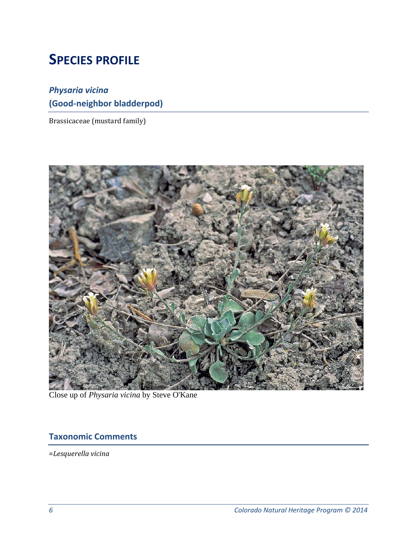# **SPECIES PROFILE**

## *Physaria vicina* **(Good‐neighbor bladderpod)**

Brassicaceae (mustard family)



Close up of *Physaria vicina* by Steve O'Kane

## **Taxonomic Comments**

=*Lesquerella vicina*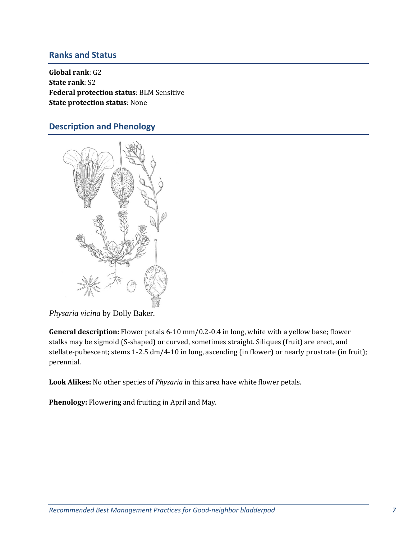#### **Ranks and Status**

**Global rank**: G2 **State rank**: S2 **Federal protection status**: BLM Sensitive **State protection status**: None 

### **Description and Phenology**



*Physaria vicina* by Dolly Baker.

**General description:** Flower petals 6-10 mm/0.2-0.4 in long, white with a yellow base; flower stalks may be sigmoid (S-shaped) or curved, sometimes straight. Siliques (fruit) are erect, and stellate-pubescent; stems 1-2.5 dm/4-10 in long, ascending (in flower) or nearly prostrate (in fruit); perennial. 

Look Alikes: No other species of *Physaria* in this area have white flower petals.

Phenology: Flowering and fruiting in April and May.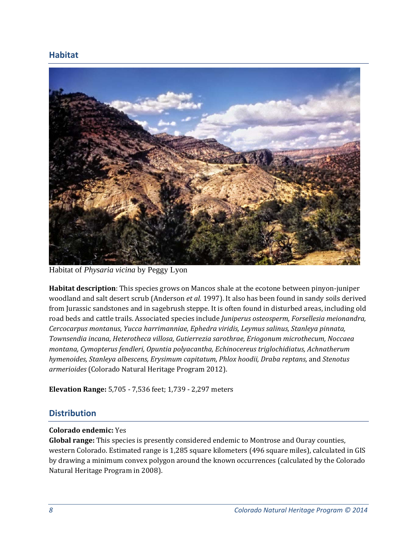### **Habitat**



Habitat of *Physaria vicina* by Peggy Lyon

**Habitat description**: This species grows on Mancos shale at the ecotone between pinyon-juniper woodland and salt desert scrub (Anderson *et al.* 1997). It also has been found in sandy soils derived from Jurassic sandstones and in sagebrush steppe. It is often found in disturbed areas, including old road beds and cattle trails. Associated species include *Juniperus osteosperm, Forsellesia meionandra, Cercocarpus montanus*, *Yucca harrimanniae, Ephedra viridis, Leymus salinus, Stanleya pinnata, Townsendia incana, Heterotheca villosa, Gutierrezia sarothrae, Eriogonum microthecum, Noccaea montana, Cymopterus fendleri, Opuntia polyacantha, Echinocereus triglochidiatus, Achnatherum hymenoides, Stanleya albescens, Erysimum capitatum, Phlox hoodii, Draba reptans,* and *Stenotus armerioides* (Colorado Natural Heritage Program 2012). 

**Elevation Range:** 5,705 - 7,536 feet; 1,739 - 2,297 meters

### **Distribution**

#### **Colorado endemic:** Yes

**Global range:** This species is presently considered endemic to Montrose and Ouray counties, western Colorado. Estimated range is 1,285 square kilometers (496 square miles), calculated in GIS by drawing a minimum convex polygon around the known occurrences (calculated by the Colorado Natural Heritage Program in 2008).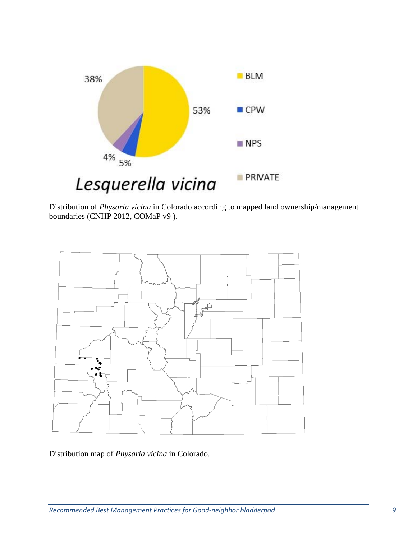

Distribution of *Physaria vicina* in Colorado according to mapped land ownership/management boundaries (CNHP 2012, COMaP v9 ).



Distribution map of *Physaria vicina* in Colorado.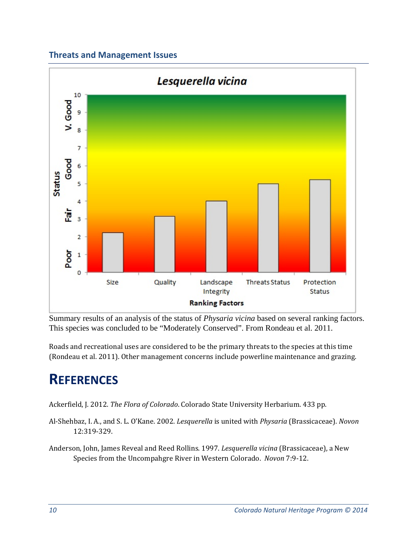## **Threats and Management Issues**



Summary results of an analysis of the status of *Physaria vicina* based on several ranking factors. This species was concluded to be "Moderately Conserved". From Rondeau et al. 2011.

Roads and recreational uses are considered to be the primary threats to the species at this time (Rondeau et al. 2011). Other management concerns include powerline maintenance and grazing.

# **REFERENCES**

Ackerfield, J. 2012. *The Flora of Colorado*. Colorado State University Herbarium. 433 pp.

Al-Shehbaz, I. A., and S. L. O'Kane. 2002. *Lesquerella* is united with *Physaria* (Brassicaceae). *Novon* 12:319‐329. 

Anderson, John, James Reveal and Reed Rollins. 1997. *Lesquerella vicina* (Brassicaceae), a New Species from the Uncompahgre River in Western Colorado. Novon 7:9-12.